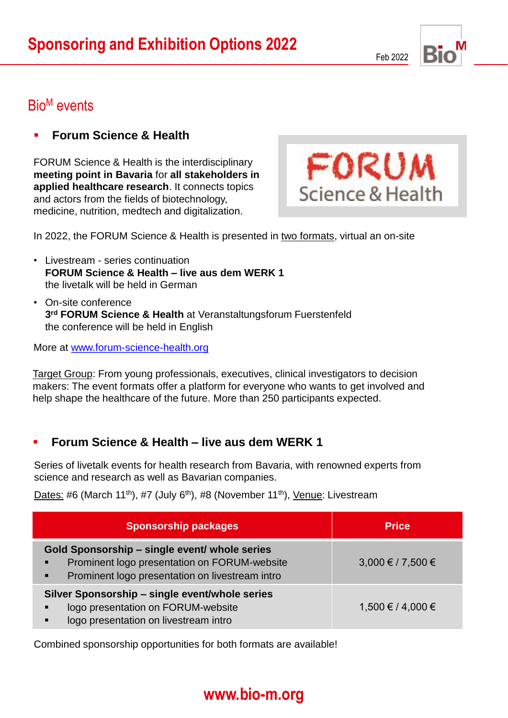Feb 2022



### Bio<sup>M</sup> events

### **Forum Science & Health**

FORUM Science & Health is the interdisciplinary **meeting point in Bavaria** for **all stakeholders in applied healthcare research**. It connects topics and actors from the fields of biotechnology, medicine, nutrition, medtech and digitalization.



In 2022, the FORUM Science & Health is presented in two formats, virtual an on-site

- Livestream series continuation **FORUM Science & Health – live aus dem WERK 1** the livetalk will be held in German
- On-site conference **3 rd FORUM Science & Health** at Veranstaltungsforum Fuerstenfeld the conference will be held in English

More at [www.forum-science-health.org](http://www.forum-science-health.org/)

Target Group: From young professionals, executives, clinical investigators to decision makers: The event formats offer a platform for everyone who wants to get involved and help shape the healthcare of the future. More than 250 participants expected.

#### ▪ **Forum Science & Health – live aus dem WERK 1**

Series of livetalk events for health research from Bavaria, with renowned experts from science and research as well as Bavarian companies.

Dates: #6 (March 11<sup>th</sup>), #7 (July 6<sup>th</sup>), #8 (November 11<sup>th</sup>), Venue: Livestream

| <b>Sponsorship packages</b>                                                                                                                      | <b>Price</b>      |
|--------------------------------------------------------------------------------------------------------------------------------------------------|-------------------|
| Gold Sponsorship - single event/ whole series<br>Prominent logo presentation on FORUM-website<br>Prominent logo presentation on livestream intro | 3,000 € / 7,500 € |
| Silver Sponsorship - single event/whole series<br>logo presentation on FORUM-website<br>п<br>logo presentation on livestream intro               | 1,500 € / 4,000 € |

Combined sponsorship opportunities for both formats are available!

# **www.bio-m.org www.bio-m.org**